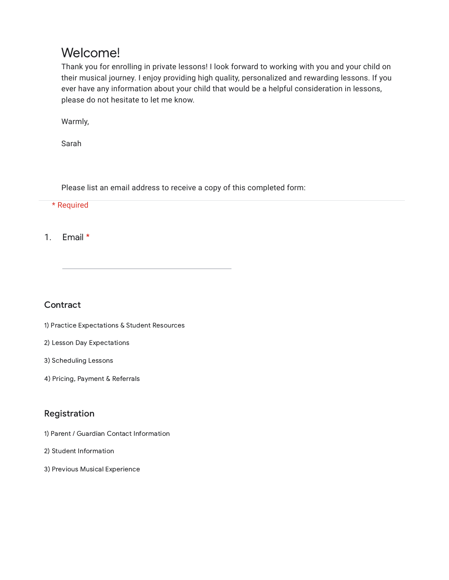# Welcome!

Thank you for enrolling in private lessons! I look forward to working with you and your child on their musical journey. I enjoy providing high quality, personalized and rewarding lessons. If you ever have any information about your child that would be a helpful consideration in lessons, please do not hesitate to let me know.

Warmly,

Sarah

Please list an email address to receive a copy of this completed form:

\* Required

1. Email \*

**Contract** 

- 1) Practice Expectations & Student Resources
- 2) Lesson Day Expectations
- 3) Scheduling Lessons
- 4) Pricing, Payment & Referrals

# Registration

- 1) Parent / Guardian Contact Information
- 2) Student Information
- 3) Previous Musical Experience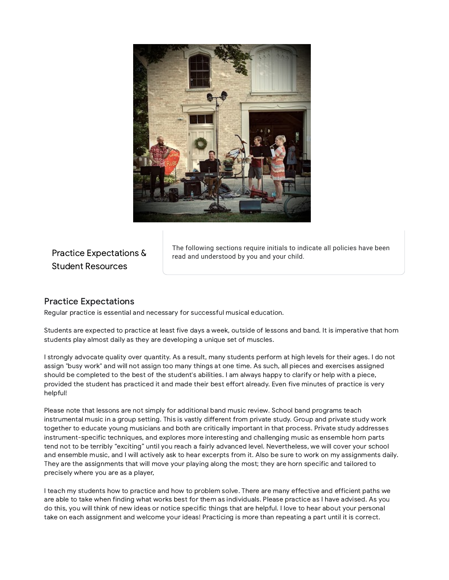

# Practice Expectations & Student Resources

The following sections require initials to indicate all policies have been read and understood by you and your child.

### Practice Expectations

Regular practice is essential and necessary for successful musical education.

Students are expected to practice at least five days a week, outside of lessons and band. It is imperative that horn students play almost daily as they are developing a unique set of muscles.

I strongly advocate quality over quantity. As a result, many students perform at high levels for their ages. I do not assign "busy work" and will not assign too many things at one time. As such, all pieces and exercises assigned should be completed to the best of the student's abilities. I am always happy to clarify or help with a piece, provided the student has practiced it and made their best effort already. Even five minutes of practice is very helpful!

Please note that lessons are not simply for additional band music review. School band programs teach instrumental music in a group setting. This is vastly different from private study. Group and private study work together to educate young musicians and both are critically important in that process. Private study addresses instrument-specific techniques, and explores more interesting and challenging music as ensemble horn parts tend not to be terribly "exciting" until you reach a fairly advanced level. Nevertheless, we will cover your school and ensemble music, and I will actively ask to hear excerpts from it. Also be sure to work on my assignments daily. They are the assignments that will move your playing along the most; they are horn specific and tailored to precisely where you are as a player,

I teach my students how to practice and how to problem solve. There are many effective and efficient paths we are able to take when finding what works best for them as individuals. Please practice as I have advised. As you do this, you will think of new ideas or notice specific things that are helpful. I love to hear about your personal take on each assignment and welcome your ideas! Practicing is more than repeating a part until it is correct.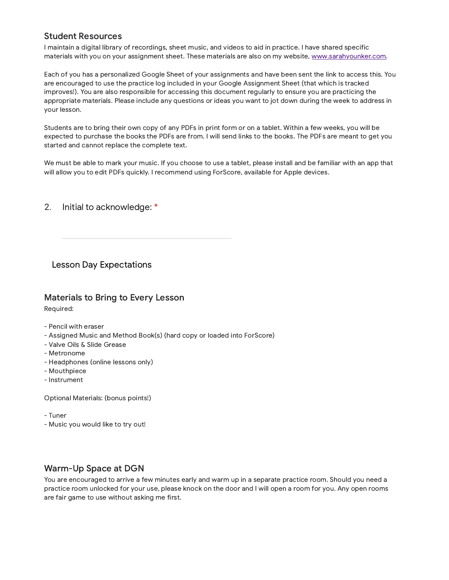#### Student Resources

I maintain a digital library of recordings, sheet music, and videos to aid in practice. I have shared specific materials with you on your assignment sheet. These materials are also on my website, [www.sarahyounker.com.](http://www.sarahyounker.com/)

Each of you has a personalized Google Sheet of your assignments and have been sent the link to access this. You are encouraged to use the practice log included in your Google Assignment Sheet (that which is tracked improves!). You are also responsible for accessing this document regularly to ensure you are practicing the appropriate materials. Please include any questions or ideas you want to jot down during the week to address in your lesson.

Students are to bring their own copy of any PDFs in print form or on a tablet. Within a few weeks, you will be expected to purchase the books the PDFs are from. I will send links to the books. The PDFs are meant to get you started and cannot replace the complete text.

We must be able to mark your music. If you choose to use a tablet, please install and be familiar with an app that will allow you to edit PDFs quickly. I recommend using ForScore, available for Apple devices.

#### 2. Initial to acknowledge: \*

Lesson Day Expectations

### Materials to Bring to Every Lesson

Required:

- Pencil with eraser
- Assigned Music and Method Book(s) (hard copy or loaded into ForScore)
- Valve Oils & Slide Grease
- Metronome
- Headphones (online lessons only)
- Mouthpiece
- Instrument

Optional Materials: (bonus points!)

- Tuner
- Music you would like to try out!

### Warm-Up Space at DGN

You are encouraged to arrive a few minutes early and warm up in a separate practice room. Should you need a practice room unlocked for your use, please knock on the door and I will open a room for you. Any open rooms are fair game to use without asking me first.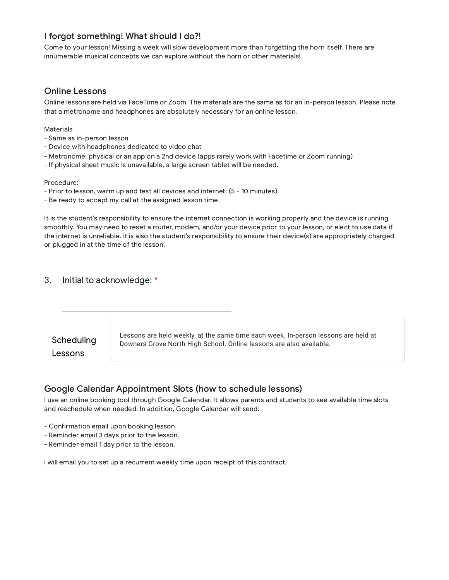### I forgot something! What should I do?!

Come to your lesson! Missing a week will slow development more than forgetting the horn itself. There are innumerable musical concepts we can explore without the horn or other materials!

#### Online Lessons

Online lessons are held via FaceTime or Zoom. The materials are the same as for an in-person lesson. Please note that a metronome and headphones are absolutely necessary for an online lesson.

#### Materials

- Same as in-person lesson
- Device with headphones dedicated to video chat
- Metronome: physical or an app on a 2nd device (apps rarely work with Facetime or Zoom running)
- If physical sheet music is unavailable, a large screen tablet will be needed.

#### Procedure:

- Prior to lesson, warm up and test all devices and internet. (5 10 minutes)
- Be ready to accept my call at the assigned lesson time.

It is the student's responsibility to ensure the internet connection is working properly and the device is running smoothly. You may need to reset a router, modem, and/or your device prior to your lesson, or elect to use data if the internet is unreliable. It is also the student's responsibility to ensure their device(s) are appropriately charged or plugged in at the time of the lesson.

#### 3. Initial to acknowledge: \*



#### Google Calendar Appointment Slots (how to schedule lessons)

I use an online booking tool through Google Calendar. It allows parents and students to see available time slots and reschedule when needed. In addition, Google Calendar will send:

- Confirmation email upon booking lesson
- Reminder email 3 days prior to the lesson.
- Reminder email 1 day prior to the lesson.

I will email you to set up a recurrent weekly time upon receipt of this contract.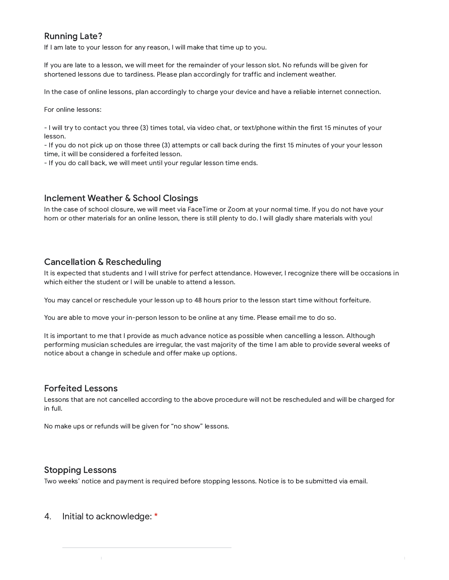## Running Late?

If I am late to your lesson for any reason, I will make that time up to you.

If you are late to a lesson, we will meet for the remainder of your lesson slot. No refunds will be given for shortened lessons due to tardiness. Please plan accordingly for traffic and inclement weather.

In the case of online lessons, plan accordingly to charge your device and have a reliable internet connection.

For online lessons:

- I will try to contact you three (3) times total, via video chat, or text/phone within the first 15 minutes of your lesson.

- If you do not pick up on those three (3) attempts or call back during the first 15 minutes of your your lesson time, it will be considered a forfeited lesson.

- If you do call back, we will meet until your regular lesson time ends.

#### Inclement Weather & School Closings

In the case of school closure, we will meet via FaceTime or Zoom at your normal time. If you do not have your horn or other materials for an online lesson, there is still plenty to do. I will gladly share materials with you!

### Cancellation & Rescheduling

It is expected that students and I will strive for perfect attendance. However, I recognize there will be occasions in which either the student or I will be unable to attend a lesson.

You may cancel or reschedule your lesson up to 48 hours prior to the lesson start time without forfeiture.

You are able to move your in-person lesson to be online at any time. Please email me to do so.

It is important to me that I provide as much advance notice as possible when cancelling a lesson. Although performing musician schedules are irregular, the vast majority of the time I am able to provide several weeks of notice about a change in schedule and offer make up options.

#### Forfeited Lessons

Lessons that are not cancelled according to the above procedure will not be rescheduled and will be charged for in full.

No make ups or refunds will be given for "no show" lessons.

#### Stopping Lessons

Two weeks' notice and payment is required before stopping lessons. Notice is to be submitted via email.

4. Initial to acknowledge: \*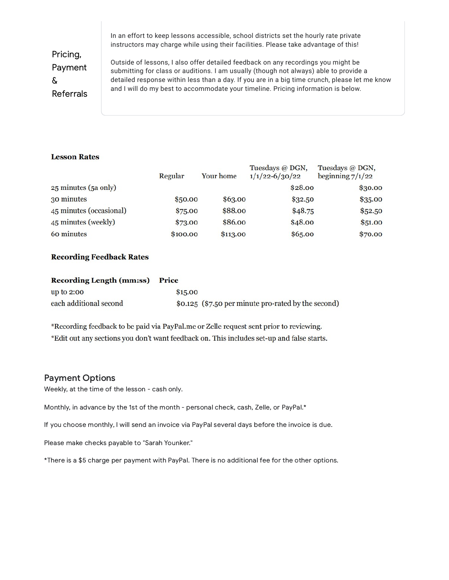In an effort to keep lessons accessible, school districts set the hourly rate private instructors may charge while using their facilities. Please take advantage of this!

Pricing, Payment & Referrals

Outside of lessons, I also offer detailed feedback on any recordings you might be submitting for class or auditions. I am usually (though not always) able to provide a detailed response within less than a day. If you are in a big time crunch, please let me know and I will do my best to accommodate your timeline. Pricing information is below.

#### **Lesson Rates**

|                         | Regular  | Your home | Tuesdays @ DGN,<br>$1/1/22 - 6/30/22$ | Tuesdays @ DGN,<br>beginning $7/1/22$ |
|-------------------------|----------|-----------|---------------------------------------|---------------------------------------|
| 25 minutes (5a only)    |          |           | \$28.00                               | \$30.00                               |
| 30 minutes              | \$50.00  | \$63.00   | \$32.50                               | \$35.00                               |
| 45 minutes (occasional) | \$75.00  | \$88.00   | \$48.75                               | \$52.50                               |
| 45 minutes (weekly)     | \$73.00  | \$86.00   | \$48.00                               | \$51.00                               |
| 60 minutes              | \$100.00 | \$113.00  | \$65.00                               | \$70.00                               |

#### **Recording Feedback Rates**

| Recording Length (mm:ss) Price |         |                                                     |
|--------------------------------|---------|-----------------------------------------------------|
| up to $2:00$                   | \$15.00 |                                                     |
| each additional second         |         | \$0.125 (\$7.50 per minute pro-rated by the second) |

\*Recording feedback to be paid via PayPal.me or Zelle request sent prior to reviewing. \*Edit out any sections you don't want feedback on. This includes set-up and false starts.

#### Payment Options

Weekly, at the time of the lesson - cash only.

Monthly, in advance by the 1st of the month - personal check, cash, Zelle, or PayPal.\*

If you choose monthly, I will send an invoice via PayPal several days before the invoice is due.

Please make checks payable to "Sarah Younker."

\*There is a \$5 charge per payment with PayPal. There is no additional fee for the other options.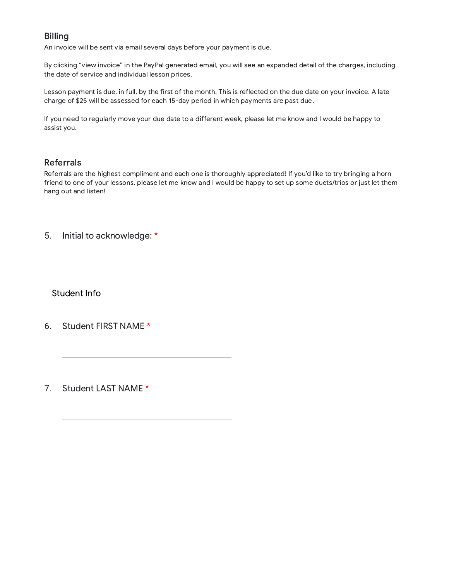### Billing

An invoice will be sent via email several days before your payment is due.

By clicking "view invoice" in the PayPal generated email, you will see an expanded detail of the charges, including the date of service and individual lesson prices.

Lesson payment is due, in full, by the first of the month. This is reflected on the due date on your invoice. A late charge of \$25 will be assessed for each 15-day period in which payments are past due.

If you need to regularly move your due date to a different week, please let me know and I would be happy to assist you.

### Referrals

Referrals are the highest compliment and each one is thoroughly appreciated! If you'd like to try bringing a horn friend to one of your lessons, please let me know and I would be happy to set up some duets/trios or just let them hang out and listen!

5. Initial to acknowledge: \*

Student Info

- 6. Student FIRST NAME \*
- 7. Student LAST NAME \*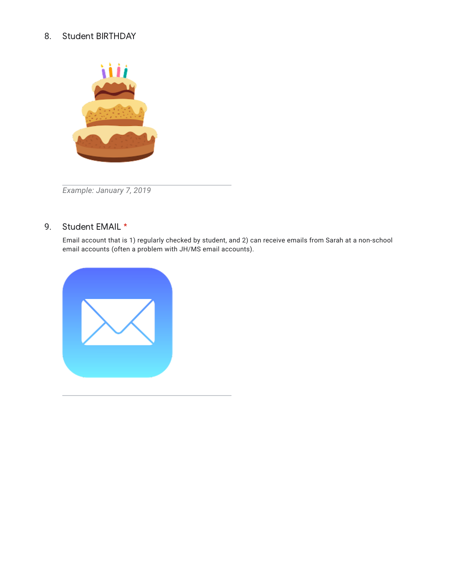#### 8. Student BIRTHDAY



*Example: January 7, 2019*

#### 9. Student EMAIL \*

Email account that is 1) regularly checked by student, and 2) can receive emails from Sarah at a non-school email accounts (often a problem with JH/MS email accounts).

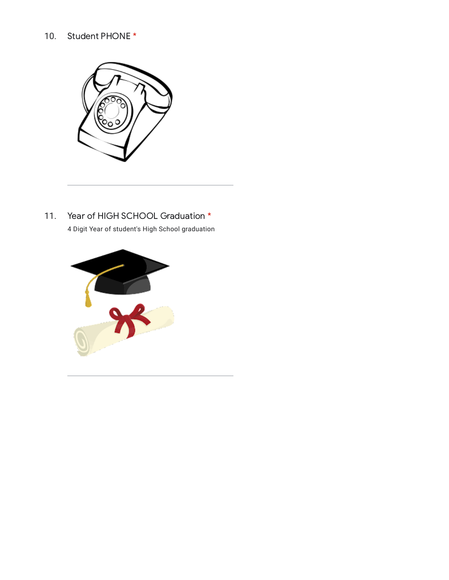#### 10. Student PHONE \*



11. Year of HIGH SCHOOL Graduation \* 4 Digit Year of student's High School graduation

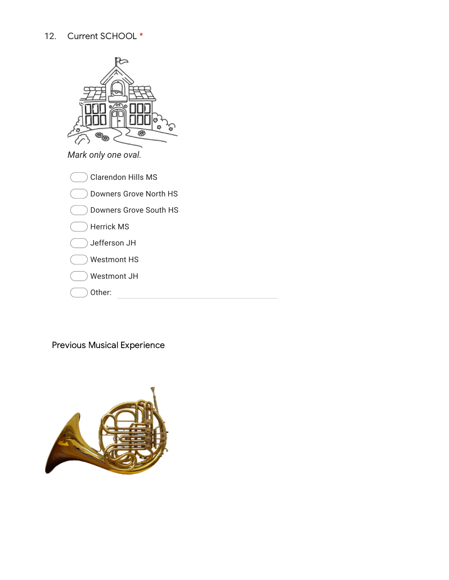# 12. Current SCHOOL \*



| Jefferson JH       |  |
|--------------------|--|
| <b>Westmont HS</b> |  |
| Westmont JH        |  |

Other:

Previous Musical Experience

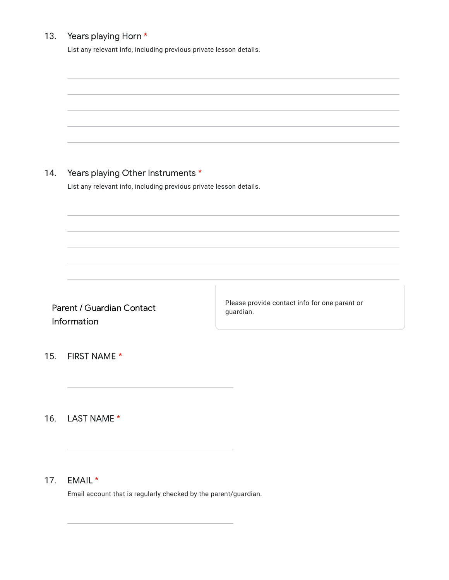#### 13. Years playing Horn \*

List any relevant info, including previous private lesson details.

|                                          | Years playing Other Instruments *                                  |                                                            |  |  |  |  |
|------------------------------------------|--------------------------------------------------------------------|------------------------------------------------------------|--|--|--|--|
| 14.                                      |                                                                    |                                                            |  |  |  |  |
|                                          | List any relevant info, including previous private lesson details. |                                                            |  |  |  |  |
|                                          |                                                                    |                                                            |  |  |  |  |
|                                          |                                                                    |                                                            |  |  |  |  |
| Parent / Guardian Contact<br>Information |                                                                    | Please provide contact info for one parent or<br>guardian. |  |  |  |  |
| 15.                                      | FIRST NAME *                                                       |                                                            |  |  |  |  |
|                                          | 16. LAST NAME *                                                    |                                                            |  |  |  |  |
|                                          |                                                                    |                                                            |  |  |  |  |

17. EMAIL \*

Email account that is regularly checked by the parent/guardian.